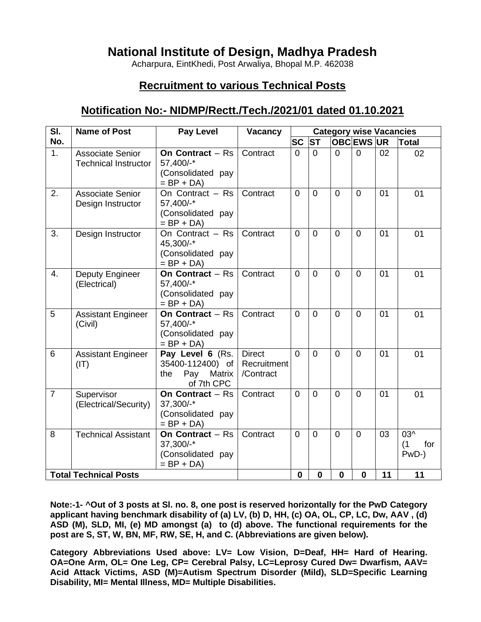# **National Institute of Design, Madhya Pradesh**

Acharpura, EintKhedi, Post Arwaliya, Bhopal M.P. 462038

# **Recruitment to various Technical Posts**

# **Notification No:- NIDMP/Rectt./Tech./2021/01 dated 01.10.2021**

| SI.            | <b>Name of Post</b>                                    | <b>Pay Level</b>                                                           | Vacancy                                   | <b>Category wise Vacancies</b> |                |                |                  |    |                            |
|----------------|--------------------------------------------------------|----------------------------------------------------------------------------|-------------------------------------------|--------------------------------|----------------|----------------|------------------|----|----------------------------|
| No.            |                                                        |                                                                            |                                           | <b>SC</b>                      | <b>ST</b>      |                | <b>OBCEWS UR</b> |    | <b>Total</b>               |
| 1.             | <b>Associate Senior</b><br><b>Technical Instructor</b> | On Contract $-$ Rs<br>57,400/-*<br>(Consolidated pay<br>$= BP + DA$        | Contract                                  | $\overline{0}$                 | $\Omega$       | $\overline{0}$ | $\overline{0}$   | 02 | 02                         |
| 2.             | Associate Senior<br>Design Instructor                  | On Contract - Rs<br>57,400/-*<br>(Consolidated pay<br>$= BP + DA$          | Contract                                  | $\overline{0}$                 | $\Omega$       | $\Omega$       | $\overline{0}$   | 01 | 01                         |
| 3.             | Design Instructor                                      | On Contract - Rs<br>45,300/-*<br>(Consolidated pay<br>$= BP + DA$          | Contract                                  | $\Omega$                       | $\Omega$       | $\overline{0}$ | $\overline{0}$   | 01 | 01                         |
| 4.             | Deputy Engineer<br>(Electrical)                        | On Contract $-$ Rs<br>57,400/-*<br>(Consolidated pay<br>$= BP + DA$        | Contract                                  | $\overline{0}$                 | $\overline{0}$ | $\Omega$       | $\Omega$         | 01 | 01                         |
| 5              | <b>Assistant Engineer</b><br>(Civil)                   | On Contract $-$ Rs<br>57,400/-*<br>(Consolidated pay<br>$= BP + DA$        | Contract                                  | $\overline{0}$                 | $\Omega$       | $\overline{0}$ | $\overline{0}$   | 01 | 01                         |
| 6              | <b>Assistant Engineer</b><br>(IT)                      | Pay Level 6 (Rs.<br>35400-112400) of<br>Matrix<br>the<br>Pay<br>of 7th CPC | <b>Direct</b><br>Recruitment<br>/Contract | $\overline{0}$                 | $\Omega$       | $\overline{0}$ | $\overline{0}$   | 01 | 01                         |
| $\overline{7}$ | Supervisor<br>(Electrical/Security)                    | On Contract $-$ Rs<br>37,300/-*<br>(Consolidated pay<br>$= BP + DA$        | Contract                                  | $\overline{0}$                 | $\Omega$       | $\Omega$       | $\overline{0}$   | 01 | 01                         |
| 8              | <b>Technical Assistant</b>                             | On Contract $-$ Rs<br>37,300/-*<br>(Consolidated pay<br>$= BP + DA$        | Contract                                  | $\Omega$                       | $\Omega$       | $\overline{0}$ | $\overline{0}$   | 03 | 03^<br>(1)<br>for<br>PwD-) |
|                | <b>Total Technical Posts</b>                           |                                                                            |                                           | $\mathbf{0}$                   | $\mathbf 0$    | $\mathbf 0$    | $\mathbf{0}$     | 11 | 11                         |

**Note:-1- ^Out of 3 posts at Sl. no. 8, one post is reserved horizontally for the PwD Category applicant having benchmark disability of (a) LV, (b) D, HH, (c) OA, OL, CP, LC, Dw, AAV , (d) ASD (M), SLD, MI, (e) MD amongst (a) to (d) above. The functional requirements for the post are S, ST, W, BN, MF, RW, SE, H, and C. (Abbreviations are given below).**

**Category Abbreviations Used above: LV= Low Vision, D=Deaf, HH= Hard of Hearing. OA=One Arm, OL= One Leg, CP= Cerebral Palsy, LC=Leprosy Cured Dw= Dwarfism, AAV= Acid Attack Victims, ASD (M)=Autism Spectrum Disorder (Mild), SLD=Specific Learning Disability, MI= Mental Illness, MD= Multiple Disabilities.**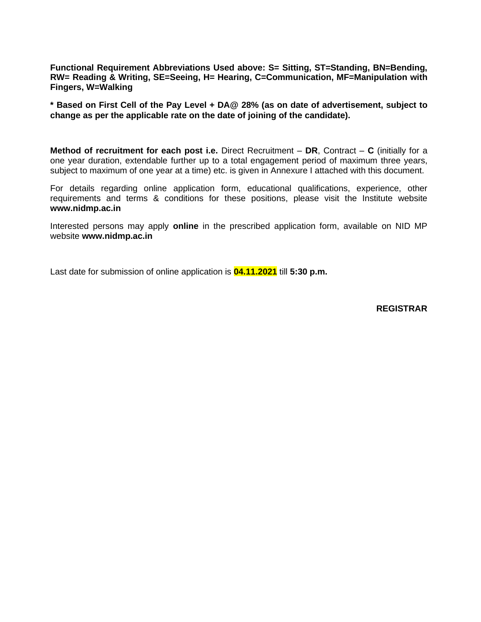**Functional Requirement Abbreviations Used above: S= Sitting, ST=Standing, BN=Bending, RW= Reading & Writing, SE=Seeing, H= Hearing, C=Communication, MF=Manipulation with Fingers, W=Walking**

**\* Based on First Cell of the Pay Level + DA@ 28% (as on date of advertisement, subject to change as per the applicable rate on the date of joining of the candidate).**

**Method of recruitment for each post i.e.** Direct Recruitment – **DR**, Contract – **C** (initially for a one year duration, extendable further up to a total engagement period of maximum three years, subject to maximum of one year at a time) etc. is given in Annexure I attached with this document.

For details regarding online application form, educational qualifications, experience, other requirements and terms & conditions for these positions, please visit the Institute website **[www.nidmp.ac.in](http://www.mnnit.ac.in/)**

Interested persons may apply **online** in the prescribed application form, available on NID MP website **[www.nidmp.ac.in](http://www.mnnit.ac.in/)**

Last date for submission of online application is **04.11.2021** till **5:30 p.m.**

**REGISTRAR**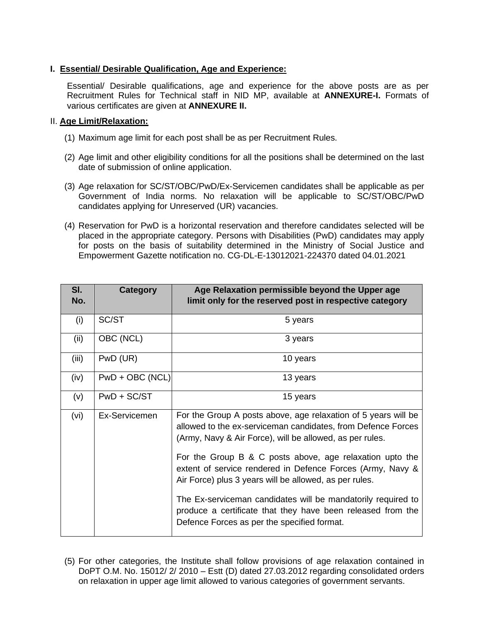## **I. Essential/ Desirable Qualification, Age and Experience:**

Essential/ Desirable qualifications, age and experience for the above posts are as per Recruitment Rules for Technical staff in NID MP, available at **ANNEXURE-I.** Formats of various certificates are given at **ANNEXURE II.** 

#### II. **Age Limit/Relaxation:**

- (1) Maximum age limit for each post shall be as per Recruitment Rules.
- (2) Age limit and other eligibility conditions for all the positions shall be determined on the last date of submission of online application.
- (3) Age relaxation for SC/ST/OBC/PwD/Ex-Servicemen candidates shall be applicable as per Government of India norms. No relaxation will be applicable to SC/ST/OBC/PwD candidates applying for Unreserved (UR) vacancies.
- (4) Reservation for PwD is a horizontal reservation and therefore candidates selected will be placed in the appropriate category. Persons with Disabilities (PwD) candidates may apply for posts on the basis of suitability determined in the Ministry of Social Justice and Empowerment Gazette notification no. CG-DL-E-13012021-224370 dated 04.01.2021

| SI.<br>No. | Category        | Age Relaxation permissible beyond the Upper age<br>limit only for the reserved post in respective category                                                                                 |
|------------|-----------------|--------------------------------------------------------------------------------------------------------------------------------------------------------------------------------------------|
| (i)        | SC/ST           | 5 years                                                                                                                                                                                    |
| (ii)       | OBC (NCL)       | 3 years                                                                                                                                                                                    |
| (iii)      | PwD (UR)        | 10 years                                                                                                                                                                                   |
| (iv)       | PwD + OBC (NCL) | 13 years                                                                                                                                                                                   |
| (v)        | $PWD + SC/ST$   | 15 years                                                                                                                                                                                   |
| (vi)       | Ex-Servicemen   | For the Group A posts above, age relaxation of 5 years will be<br>allowed to the ex-serviceman candidates, from Defence Forces<br>(Army, Navy & Air Force), will be allowed, as per rules. |
|            |                 | For the Group B & C posts above, age relaxation upto the<br>extent of service rendered in Defence Forces (Army, Navy &<br>Air Force) plus 3 years will be allowed, as per rules.           |
|            |                 | The Ex-serviceman candidates will be mandatorily required to<br>produce a certificate that they have been released from the<br>Defence Forces as per the specified format.                 |

(5) For other categories, the Institute shall follow provisions of age relaxation contained in DoPT O.M. No. 15012/ 2/ 2010 – Estt (D) dated 27.03.2012 regarding consolidated orders on relaxation in upper age limit allowed to various categories of government servants.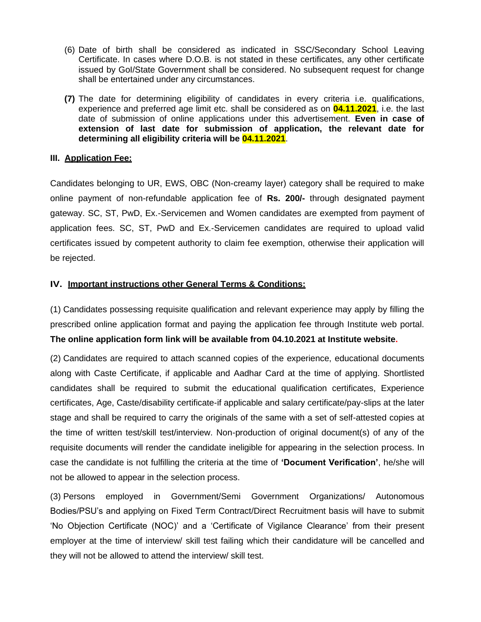- (6) Date of birth shall be considered as indicated in SSC/Secondary School Leaving Certificate. In cases where D.O.B. is not stated in these certificates, any other certificate issued by GoI/State Government shall be considered. No subsequent request for change shall be entertained under any circumstances.
- **(7)** The date for determining eligibility of candidates in every criteria i.e. qualifications, experience and preferred age limit etc. shall be considered as on **04.11.2021**, i.e. the last date of submission of online applications under this advertisement. **Even in case of extension of last date for submission of application, the relevant date for determining all eligibility criteria will be 04.11.2021**.

## **III. Application Fee:**

Candidates belonging to UR, EWS, OBC (Non-creamy layer) category shall be required to make online payment of non-refundable application fee of **Rs. 200/-** through designated payment gateway. SC, ST, PwD, Ex.-Servicemen and Women candidates are exempted from payment of application fees. SC, ST, PwD and Ex.-Servicemen candidates are required to upload valid certificates issued by competent authority to claim fee exemption, otherwise their application will be rejected.

## **IV. Important instructions other General Terms & Conditions:**

(1) Candidates possessing requisite qualification and relevant experience may apply by filling the prescribed online application format and paying the application fee through Institute web portal. **The online application form link will be available from 04.10.2021 at Institute website.**

(2) Candidates are required to attach scanned copies of the experience, educational documents along with Caste Certificate, if applicable and Aadhar Card at the time of applying. Shortlisted candidates shall be required to submit the educational qualification certificates, Experience certificates, Age, Caste/disability certificate-if applicable and salary certificate/pay-slips at the later stage and shall be required to carry the originals of the same with a set of self-attested copies at the time of written test/skill test/interview. Non-production of original document(s) of any of the requisite documents will render the candidate ineligible for appearing in the selection process. In case the candidate is not fulfilling the criteria at the time of **'Document Verification'**, he/she will not be allowed to appear in the selection process.

(3) Persons employed in Government/Semi Government Organizations/ Autonomous Bodies/PSU's and applying on Fixed Term Contract/Direct Recruitment basis will have to submit 'No Objection Certificate (NOC)' and a 'Certificate of Vigilance Clearance' from their present employer at the time of interview/ skill test failing which their candidature will be cancelled and they will not be allowed to attend the interview/ skill test.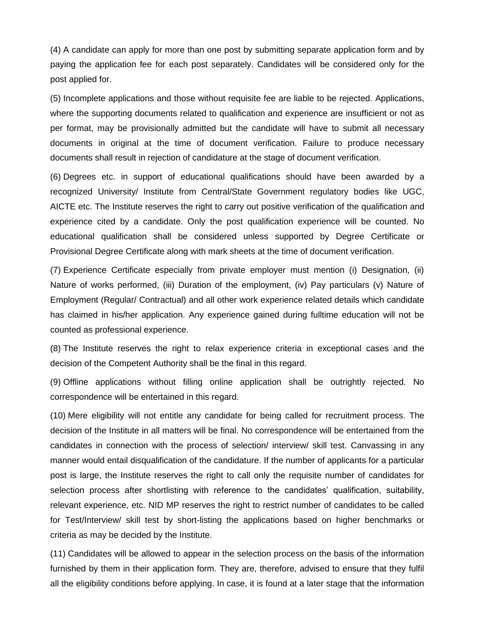(4) A candidate can apply for more than one post by submitting separate application form and by paying the application fee for each post separately. Candidates will be considered only for the post applied for.

(5) Incomplete applications and those without requisite fee are liable to be rejected. Applications, where the supporting documents related to qualification and experience are insufficient or not as per format, may be provisionally admitted but the candidate will have to submit all necessary documents in original at the time of document verification. Failure to produce necessary documents shall result in rejection of candidature at the stage of document verification.

(6) Degrees etc. in support of educational qualifications should have been awarded by a recognized University/ Institute from Central/State Government regulatory bodies like UGC, AICTE etc. The Institute reserves the right to carry out positive verification of the qualification and experience cited by a candidate. Only the post qualification experience will be counted. No educational qualification shall be considered unless supported by Degree Certificate or Provisional Degree Certificate along with mark sheets at the time of document verification.

(7) Experience Certificate especially from private employer must mention (i) Designation, (ii) Nature of works performed, (iii) Duration of the employment, (iv) Pay particulars (v) Nature of Employment (Regular/ Contractual) and all other work experience related details which candidate has claimed in his/her application. Any experience gained during fulltime education will not be counted as professional experience.

(8) The Institute reserves the right to relax experience criteria in exceptional cases and the decision of the Competent Authority shall be the final in this regard.

(9) Offline applications without filling online application shall be outrightly rejected. No correspondence will be entertained in this regard.

(10) Mere eligibility will not entitle any candidate for being called for recruitment process. The decision of the Institute in all matters will be final. No correspondence will be entertained from the candidates in connection with the process of selection/ interview/ skill test. Canvassing in any manner would entail disqualification of the candidature. If the number of applicants for a particular post is large, the Institute reserves the right to call only the requisite number of candidates for selection process after shortlisting with reference to the candidates' qualification, suitability, relevant experience, etc. NID MP reserves the right to restrict number of candidates to be called for Test/Interview/ skill test by short-listing the applications based on higher benchmarks or criteria as may be decided by the Institute.

(11) Candidates will be allowed to appear in the selection process on the basis of the information furnished by them in their application form. They are, therefore, advised to ensure that they fulfil all the eligibility conditions before applying. In case, it is found at a later stage that the information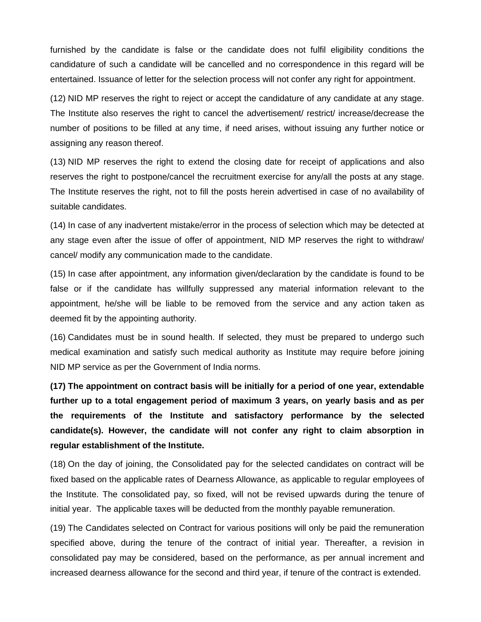furnished by the candidate is false or the candidate does not fulfil eligibility conditions the candidature of such a candidate will be cancelled and no correspondence in this regard will be entertained. Issuance of letter for the selection process will not confer any right for appointment.

(12) NID MP reserves the right to reject or accept the candidature of any candidate at any stage. The Institute also reserves the right to cancel the advertisement/ restrict/ increase/decrease the number of positions to be filled at any time, if need arises, without issuing any further notice or assigning any reason thereof.

(13) NID MP reserves the right to extend the closing date for receipt of applications and also reserves the right to postpone/cancel the recruitment exercise for any/all the posts at any stage. The Institute reserves the right, not to fill the posts herein advertised in case of no availability of suitable candidates.

(14) In case of any inadvertent mistake/error in the process of selection which may be detected at any stage even after the issue of offer of appointment, NID MP reserves the right to withdraw/ cancel/ modify any communication made to the candidate.

(15) In case after appointment, any information given/declaration by the candidate is found to be false or if the candidate has willfully suppressed any material information relevant to the appointment, he/she will be liable to be removed from the service and any action taken as deemed fit by the appointing authority.

(16) Candidates must be in sound health. If selected, they must be prepared to undergo such medical examination and satisfy such medical authority as Institute may require before joining NID MP service as per the Government of India norms.

**(17) The appointment on contract basis will be initially for a period of one year, extendable further up to a total engagement period of maximum 3 years, on yearly basis and as per the requirements of the Institute and satisfactory performance by the selected candidate(s). However, the candidate will not confer any right to claim absorption in regular establishment of the Institute.**

(18) On the day of joining, the Consolidated pay for the selected candidates on contract will be fixed based on the applicable rates of Dearness Allowance, as applicable to regular employees of the Institute. The consolidated pay, so fixed, will not be revised upwards during the tenure of initial year. The applicable taxes will be deducted from the monthly payable remuneration.

(19) The Candidates selected on Contract for various positions will only be paid the remuneration specified above, during the tenure of the contract of initial year. Thereafter, a revision in consolidated pay may be considered, based on the performance, as per annual increment and increased dearness allowance for the second and third year, if tenure of the contract is extended.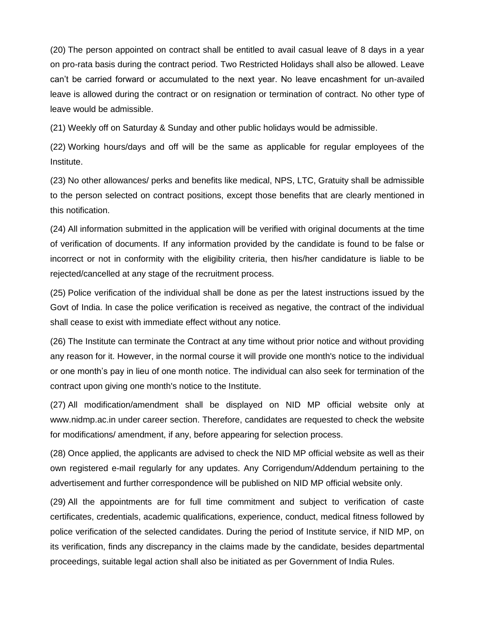(20) The person appointed on contract shall be entitled to avail casual leave of 8 days in a year on pro-rata basis during the contract period. Two Restricted Holidays shall also be allowed. Leave can't be carried forward or accumulated to the next year. No leave encashment for un-availed leave is allowed during the contract or on resignation or termination of contract. No other type of leave would be admissible.

(21) Weekly off on Saturday & Sunday and other public holidays would be admissible.

(22) Working hours/days and off will be the same as applicable for regular employees of the Institute.

(23) No other allowances/ perks and benefits like medical, NPS, LTC, Gratuity shall be admissible to the person selected on contract positions, except those benefits that are clearly mentioned in this notification.

(24) All information submitted in the application will be verified with original documents at the time of verification of documents. If any information provided by the candidate is found to be false or incorrect or not in conformity with the eligibility criteria, then his/her candidature is liable to be rejected/cancelled at any stage of the recruitment process.

(25) Police verification of the individual shall be done as per the latest instructions issued by the Govt of India. ln case the police verification is received as negative, the contract of the individual shall cease to exist with immediate effect without any notice.

(26) The Institute can terminate the Contract at any time without prior notice and without providing any reason for it. However, in the normal course it will provide one month's notice to the individual or one month's pay in lieu of one month notice. The individual can also seek for termination of the contract upon giving one month's notice to the Institute.

(27) All modification/amendment shall be displayed on NID MP official website only at www.nidmp.ac.in under career section. Therefore, candidates are requested to check the website for modifications/ amendment, if any, before appearing for selection process.

(28) Once applied, the applicants are advised to check the NID MP official website as well as their own registered e-mail regularly for any updates. Any Corrigendum/Addendum pertaining to the advertisement and further correspondence will be published on NID MP official website only.

(29) All the appointments are for full time commitment and subject to verification of caste certificates, credentials, academic qualifications, experience, conduct, medical fitness followed by police verification of the selected candidates. During the period of Institute service, if NID MP, on its verification, finds any discrepancy in the claims made by the candidate, besides departmental proceedings, suitable legal action shall also be initiated as per Government of India Rules.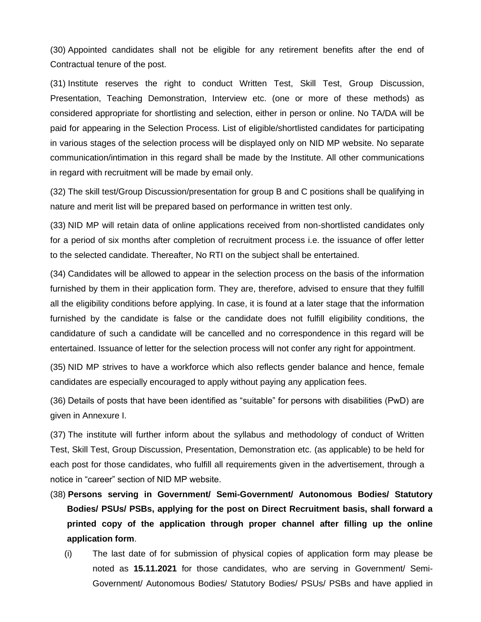(30) Appointed candidates shall not be eligible for any retirement benefits after the end of Contractual tenure of the post.

(31) Institute reserves the right to conduct Written Test, Skill Test, Group Discussion, Presentation, Teaching Demonstration, Interview etc. (one or more of these methods) as considered appropriate for shortlisting and selection, either in person or online. No TA/DA will be paid for appearing in the Selection Process. List of eligible/shortlisted candidates for participating in various stages of the selection process will be displayed only on NID MP website. No separate communication/intimation in this regard shall be made by the Institute. All other communications in regard with recruitment will be made by email only.

(32) The skill test/Group Discussion/presentation for group B and C positions shall be qualifying in nature and merit list will be prepared based on performance in written test only.

(33) NID MP will retain data of online applications received from non-shortlisted candidates only for a period of six months after completion of recruitment process i.e. the issuance of offer letter to the selected candidate. Thereafter, No RTI on the subject shall be entertained.

(34) Candidates will be allowed to appear in the selection process on the basis of the information furnished by them in their application form. They are, therefore, advised to ensure that they fulfill all the eligibility conditions before applying. In case, it is found at a later stage that the information furnished by the candidate is false or the candidate does not fulfill eligibility conditions, the candidature of such a candidate will be cancelled and no correspondence in this regard will be entertained. Issuance of letter for the selection process will not confer any right for appointment.

(35) NID MP strives to have a workforce which also reflects gender balance and hence, female candidates are especially encouraged to apply without paying any application fees.

(36) Details of posts that have been identified as "suitable" for persons with disabilities (PwD) are given in Annexure I.

(37) The institute will further inform about the syllabus and methodology of conduct of Written Test, Skill Test, Group Discussion, Presentation, Demonstration etc. (as applicable) to be held for each post for those candidates, who fulfill all requirements given in the advertisement, through a notice in "career" section of NID MP website.

- (38) **Persons serving in Government/ Semi-Government/ Autonomous Bodies/ Statutory Bodies/ PSUs/ PSBs, applying for the post on Direct Recruitment basis, shall forward a printed copy of the application through proper channel after filling up the online application form**.
	- (i) The last date of for submission of physical copies of application form may please be noted as **15.11.2021** for those candidates, who are serving in Government/ Semi-Government/ Autonomous Bodies/ Statutory Bodies/ PSUs/ PSBs and have applied in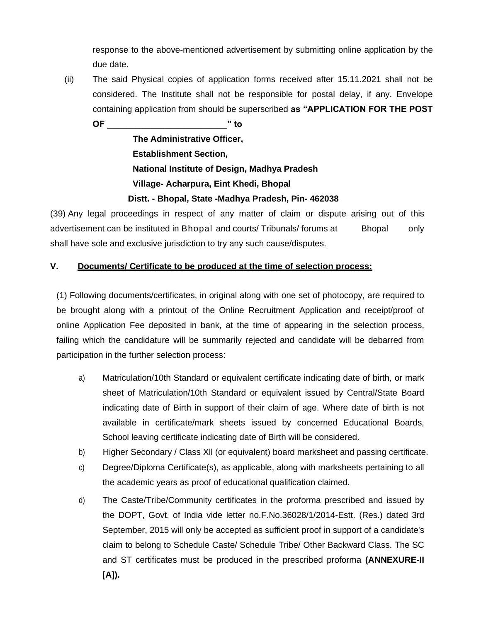response to the above-mentioned advertisement by submitting online application by the due date.

(ii) The said Physical copies of application forms received after 15.11.2021 shall not be considered. The Institute shall not be responsible for postal delay, if any. Envelope containing application from should be superscribed **as "APPLICATION FOR THE POST** 

**OF \_\_\_\_\_\_\_\_\_\_\_\_\_\_\_\_\_\_\_\_\_\_\_\_\_" to The Administrative Officer,**

**Establishment Section, National Institute of Design, Madhya Pradesh Village- Acharpura, Eint Khedi, Bhopal Distt. - Bhopal, State -Madhya Pradesh, Pin- 462038**

(39) Any legal proceedings in respect of any matter of claim or dispute arising out of this advertisement can be instituted in Bhopal and courts/ Tribunals/ forums at Bhopal only shall have sole and exclusive jurisdiction to try any such cause/disputes.

## **V. Documents/ Certificate to be produced at the time of selection process:**

(1) Following documents/certificates, in original along with one set of photocopy, are required to be brought along with a printout of the Online Recruitment Application and receipt/proof of online Application Fee deposited in bank, at the time of appearing in the selection process, failing which the candidature will be summarily rejected and candidate will be debarred from participation in the further selection process:

- a) Matriculation/10th Standard or equivalent certificate indicating date of birth, or mark sheet of Matriculation/10th Standard or equivalent issued by Central/State Board indicating date of Birth in support of their claim of age. Where date of birth is not available in certificate/mark sheets issued by concerned Educational Boards, School leaving certificate indicating date of Birth will be considered.
- b) Higher Secondary / Class Xll (or equivalent) board marksheet and passing certificate.
- c) Degree/Diploma Certificate(s), as applicable, along with marksheets pertaining to all the academic years as proof of educational qualification claimed.
- d) The Caste/Tribe/Community certificates in the proforma prescribed and issued by the DOPT, Govt. of India vide letter no.F.No.36028/1/2014-Estt. (Res.) dated 3rd September, 2015 will only be accepted as sufficient proof in support of a candidate's claim to belong to Schedule Caste/ Schedule Tribe/ Other Backward Class. The SC and ST certificates must be produced in the prescribed proforma **(ANNEXURE-II [A]).**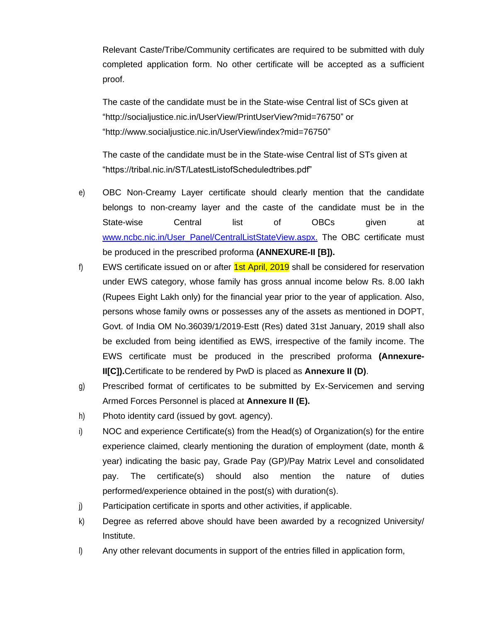Relevant Caste/Tribe/Community certificates are required to be submitted with duly completed application form. No other certificate will be accepted as a sufficient proof.

The caste of the candidate must be in the State-wise Central list of SCs given at ["http://socialjustice.nic.in/UserView/PrintUserView?mid=76750"](http://socialjustice.nic.in/UserView/PrintUserView?mid=76750) or ["http://www.socialjustice.nic.in/UserView/index?mid=76750"](http://www.socialjustice.nic.in/UserView/index?mid=76750)

The caste of the candidate must be in the State-wise Central list of STs given at "https://tribal.nic.in/ST/LatestListofScheduledtribes.pdf"

- e) OBC Non-Creamy Layer certificate should clearly mention that the candidate belongs to non-creamy layer and the caste of the candidate must be in the State-wise Central list of OBCs given at www.ncbc.nic.in/User\_Panel/CentralListStateView.aspx. The OBC certificate must be produced in the prescribed proforma **(ANNEXURE-II [B]).**
- f) EWS certificate issued on or after  $\frac{1st}{\Delta}$  April, 2019 shall be considered for reservation under EWS category, whose family has gross annual income below Rs. 8.00 Iakh (Rupees Eight Lakh only) for the financial year prior to the year of application. Also, persons whose family owns or possesses any of the assets as mentioned in DOPT, Govt. of India OM No.36039/1/2019-Estt (Res) dated 31st January, 2019 shall also be excluded from being identified as EWS, irrespective of the family income. The EWS certificate must be produced in the prescribed proforma **(Annexure-II[C]).**Certificate to be rendered by PwD is placed as **Annexure II (D)**.
- g) Prescribed format of certificates to be submitted by Ex-Servicemen and serving Armed Forces Personnel is placed at **Annexure II (E).**
- h) Photo identity card (issued by govt. agency).
- i) NOC and experience Certificate(s) from the Head(s) of Organization(s) for the entire experience claimed, clearly mentioning the duration of employment (date, month & year) indicating the basic pay, Grade Pay (GP)/Pay Matrix Level and consolidated pay. The certificate(s) should also mention the nature of duties performed/experience obtained in the post(s) with duration(s).
- j) Participation certificate in sports and other activities, if applicable.
- k) Degree as referred above should have been awarded by a recognized University/ Institute.
- l) Any other relevant documents in support of the entries filled in application form,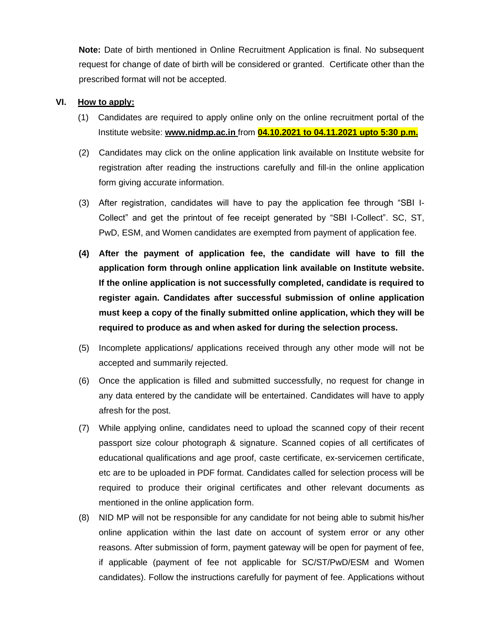**Note:** Date of birth mentioned in Online Recruitment Application is final. No subsequent request for change of date of birth will be considered or granted. Certificate other than the prescribed format will not be accepted.

#### **VI. How to apply:**

- (1) Candidates are required to apply online only on the online recruitment portal of the Institute website: **[www.nidmp.ac.in](http://www.mnnit.ac.in/)** from **04.10.2021 to 04.11.2021 upto 5:30 p.m.**
- (2) Candidates may click on the online application link available on Institute website for registration after reading the instructions carefully and fill-in the online application form giving accurate information.
- (3) After registration, candidates will have to pay the application fee through "SBI I-Collect" and get the printout of fee receipt generated by "SBI I-Collect". SC, ST, PwD, ESM, and Women candidates are exempted from payment of application fee.
- **(4) After the payment of application fee, the candidate will have to fill the application form through online application link available on Institute website. If the online application is not successfully completed, candidate is required to register again. Candidates after successful submission of online application must keep a copy of the finally submitted online application, which they will be required to produce as and when asked for during the selection process.**
- (5) Incomplete applications/ applications received through any other mode will not be accepted and summarily rejected.
- (6) Once the application is filled and submitted successfully, no request for change in any data entered by the candidate will be entertained. Candidates will have to apply afresh for the post.
- (7) While applying online, candidates need to upload the scanned copy of their recent passport size colour photograph & signature. Scanned copies of all certificates of educational qualifications and age proof, caste certificate, ex-servicemen certificate, etc are to be uploaded in PDF format. Candidates called for selection process will be required to produce their original certificates and other relevant documents as mentioned in the online application form.
- (8) NID MP will not be responsible for any candidate for not being able to submit his/her online application within the last date on account of system error or any other reasons. After submission of form, payment gateway will be open for payment of fee, if applicable (payment of fee not applicable for SC/ST/PwD/ESM and Women candidates). Follow the instructions carefully for payment of fee. Applications without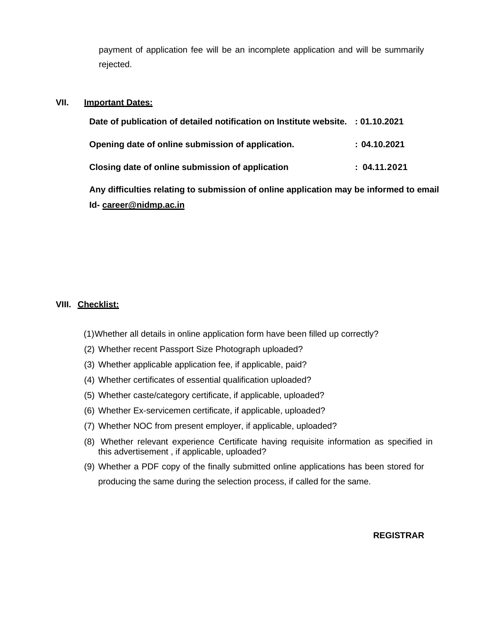payment of application fee will be an incomplete application and will be summarily rejected.

#### **VII. Important Dates:**

| Date of publication of detailed notification on Institute website. : 01.10.2021        |              |
|----------------------------------------------------------------------------------------|--------------|
| Opening date of online submission of application.                                      | : 04.10.2021 |
| Closing date of online submission of application                                       | : 04.11.2021 |
| Any difficulties relating to submission of online application may be informed to email |              |
| Id-career@nidmp.ac.in                                                                  |              |

#### **VIII. Checklist:**

- (1)Whether all details in online application form have been filled up correctly?
- (2) Whether recent Passport Size Photograph uploaded?
- (3) Whether applicable application fee, if applicable, paid?
- (4) Whether certificates of essential qualification uploaded?
- (5) Whether caste/category certificate, if applicable, uploaded?
- (6) Whether Ex-servicemen certificate, if applicable, uploaded?
- (7) Whether NOC from present employer, if applicable, uploaded?
- (8) Whether relevant experience Certificate having requisite information as specified in this advertisement , if applicable, uploaded?
- (9) Whether a PDF copy of the finally submitted online applications has been stored for producing the same during the selection process, if called for the same.

**REGISTRAR**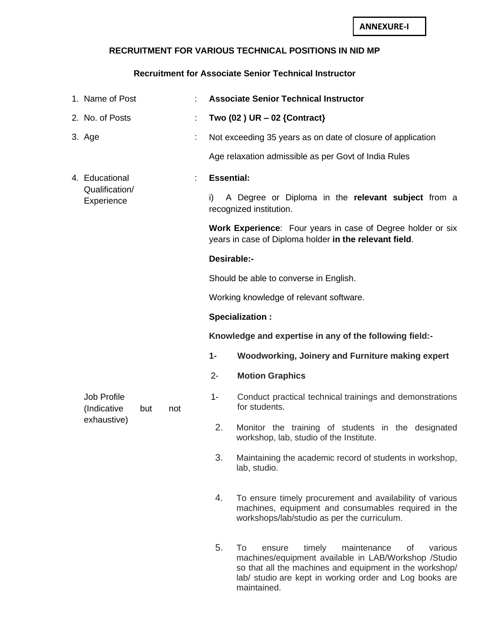## **RECRUITMENT FOR VARIOUS TECHNICAL POSITIONS IN NID MP**

## **Recruitment for Associate Senior Technical Instructor**

|  | 1. Name of Post                   |     |     | <b>Associate Senior Technical Instructor</b> |                                                                                                                                                                                                                                      |  |  |  |
|--|-----------------------------------|-----|-----|----------------------------------------------|--------------------------------------------------------------------------------------------------------------------------------------------------------------------------------------------------------------------------------------|--|--|--|
|  | 2. No. of Posts                   |     |     | Two $(02)$ UR $-02$ {Contract}               |                                                                                                                                                                                                                                      |  |  |  |
|  | 3. Age                            |     | t   |                                              | Not exceeding 35 years as on date of closure of application                                                                                                                                                                          |  |  |  |
|  |                                   |     |     |                                              | Age relaxation admissible as per Govt of India Rules                                                                                                                                                                                 |  |  |  |
|  | 4. Educational                    |     |     | <b>Essential:</b>                            |                                                                                                                                                                                                                                      |  |  |  |
|  | Qualification/<br>Experience      |     |     | i)                                           | A Degree or Diploma in the relevant subject from a<br>recognized institution.                                                                                                                                                        |  |  |  |
|  |                                   |     |     |                                              | <b>Work Experience:</b> Four years in case of Degree holder or six<br>years in case of Diploma holder in the relevant field.                                                                                                         |  |  |  |
|  |                                   |     |     | Desirable:-                                  |                                                                                                                                                                                                                                      |  |  |  |
|  |                                   |     |     |                                              | Should be able to converse in English.                                                                                                                                                                                               |  |  |  |
|  |                                   |     |     | Working knowledge of relevant software.      |                                                                                                                                                                                                                                      |  |  |  |
|  |                                   |     |     | <b>Specialization:</b>                       |                                                                                                                                                                                                                                      |  |  |  |
|  |                                   |     |     |                                              | Knowledge and expertise in any of the following field:-                                                                                                                                                                              |  |  |  |
|  |                                   |     |     | $1 -$                                        | Woodworking, Joinery and Furniture making expert                                                                                                                                                                                     |  |  |  |
|  |                                   |     |     | $2 -$                                        | <b>Motion Graphics</b>                                                                                                                                                                                                               |  |  |  |
|  | <b>Job Profile</b><br>(Indicative | but | not | $1 -$                                        | Conduct practical technical trainings and demonstrations<br>for students.                                                                                                                                                            |  |  |  |
|  | exhaustive)                       |     |     | 2.                                           | Monitor the training of students in the designated<br>workshop, lab, studio of the Institute.                                                                                                                                        |  |  |  |
|  |                                   |     |     | 3.                                           | Maintaining the academic record of students in workshop,<br>lab, studio.                                                                                                                                                             |  |  |  |
|  |                                   |     |     | 4.                                           | To ensure timely procurement and availability of various<br>machines, equipment and consumables required in the<br>workshops/lab/studio as per the curriculum.                                                                       |  |  |  |
|  |                                   |     |     | 5.                                           | To<br>timely<br>maintenance<br>various<br>ensure<br>Οf<br>machines/equipment available in LAB/Workshop /Studio<br>so that all the machines and equipment in the workshop/<br>lab/ studio are kept in working order and Log books are |  |  |  |

maintained.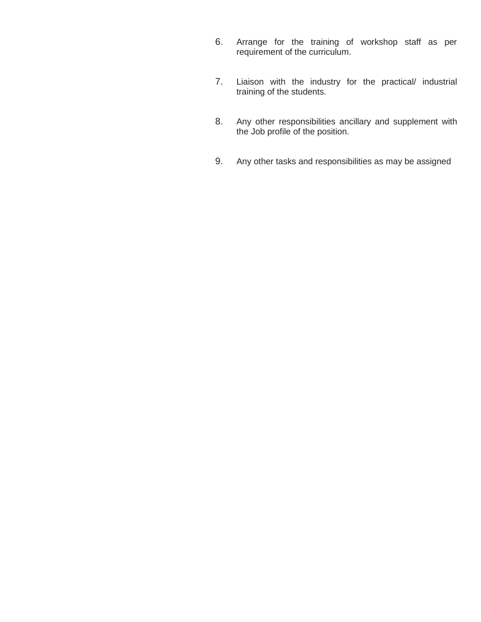- 6. Arrange for the training of workshop staff as per requirement of the curriculum.
- 7. Liaison with the industry for the practical/ industrial training of the students.
- 8. Any other responsibilities ancillary and supplement with the Job profile of the position.
- 9. Any other tasks and responsibilities as may be assigned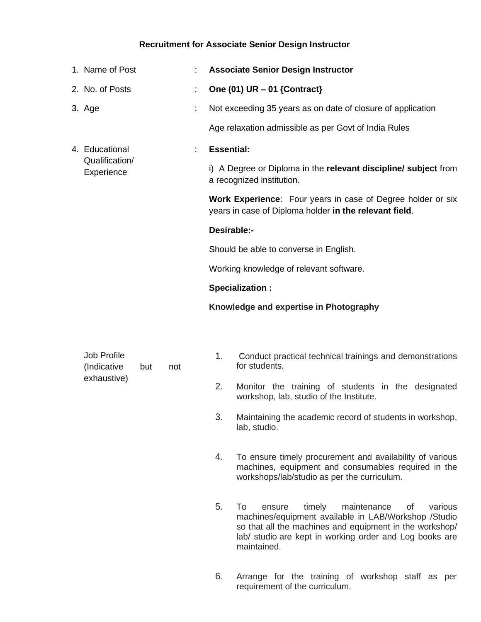## **Recruitment for Associate Senior Design Instructor**

| 1. Name of Post              |    | <b>Associate Senior Design Instructor</b>                                                                             |
|------------------------------|----|-----------------------------------------------------------------------------------------------------------------------|
| 2. No. of Posts              | t. | One $(01)$ UR $-01$ {Contract}                                                                                        |
| 3. Age                       | ÷  | Not exceeding 35 years as on date of closure of application                                                           |
|                              |    | Age relaxation admissible as per Govt of India Rules                                                                  |
| 4. Educational               |    | <b>Essential:</b>                                                                                                     |
| Qualification/<br>Experience |    | i) A Degree or Diploma in the relevant discipline/ subject from<br>a recognized institution.                          |
|                              |    | Work Experience: Four years in case of Degree holder or six<br>years in case of Diploma holder in the relevant field. |
|                              |    | Desirable:-                                                                                                           |
|                              |    | Should be able to converse in English.                                                                                |
|                              |    | Working knowledge of relevant software.                                                                               |
|                              |    | Specialization :                                                                                                      |
|                              |    | Knowledge and expertise in Photography                                                                                |
|                              |    |                                                                                                                       |
|                              |    |                                                                                                                       |

| Job Profile  |     |     |  |
|--------------|-----|-----|--|
| (Indicative) | but | not |  |
| exhaustive)  |     |     |  |

- 1. Conduct practical technical trainings and demonstrations for students.
- 2. Monitor the training of students in the designated workshop, lab, studio of the Institute.
- 3. Maintaining the academic record of students in workshop, lab, studio.
- 4. To ensure timely procurement and availability of various machines, equipment and consumables required in the workshops/lab/studio as per the curriculum.
- 5. To ensure timely maintenance of various machines/equipment available in LAB/Workshop /Studio so that all the machines and equipment in the workshop/ lab/ studio are kept in working order and Log books are maintained.
- 6. Arrange for the training of workshop staff as per requirement of the curriculum.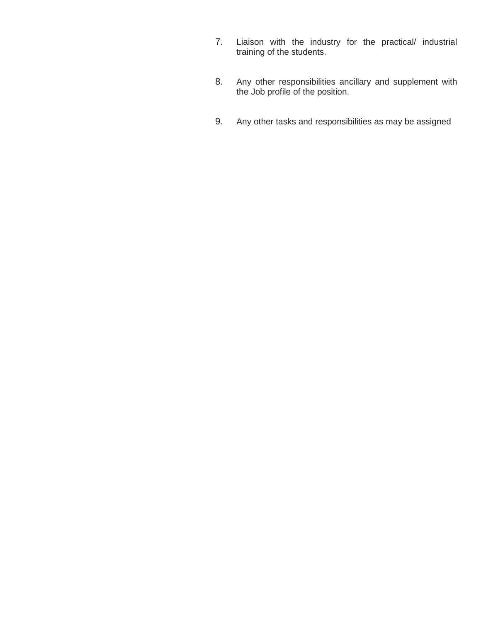- 7. Liaison with the industry for the practical/ industrial training of the students.
- 8. Any other responsibilities ancillary and supplement with the Job profile of the position.
- 9. Any other tasks and responsibilities as may be assigned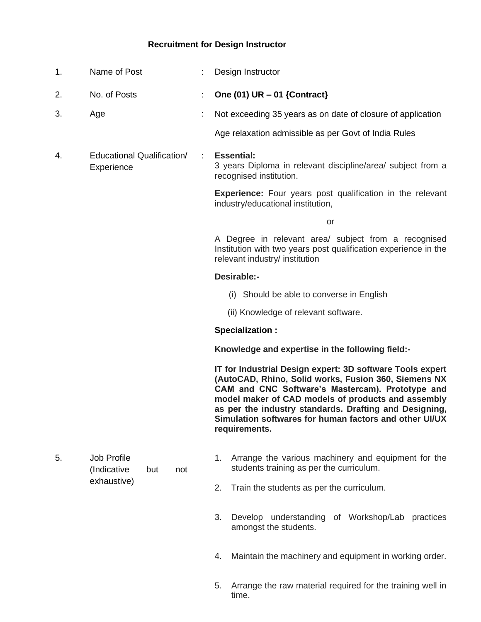## **Recruitment for Design Instructor**

| 1. | Name of Post                                    | Design Instructor                                                                                                                                                                                                                                                                                                                                                |
|----|-------------------------------------------------|------------------------------------------------------------------------------------------------------------------------------------------------------------------------------------------------------------------------------------------------------------------------------------------------------------------------------------------------------------------|
| 2. | No. of Posts                                    | One $(01)$ UR $-01$ {Contract}                                                                                                                                                                                                                                                                                                                                   |
| 3. | Age                                             | Not exceeding 35 years as on date of closure of application                                                                                                                                                                                                                                                                                                      |
|    |                                                 | Age relaxation admissible as per Govt of India Rules                                                                                                                                                                                                                                                                                                             |
| 4. | Educational Qualification/<br>Experience        | <b>Essential:</b><br>$\mathbb{R}^2$<br>3 years Diploma in relevant discipline/area/ subject from a<br>recognised institution.                                                                                                                                                                                                                                    |
|    |                                                 | <b>Experience:</b> Four years post qualification in the relevant<br>industry/educational institution,                                                                                                                                                                                                                                                            |
|    |                                                 | or                                                                                                                                                                                                                                                                                                                                                               |
|    |                                                 | A Degree in relevant area/ subject from a recognised<br>Institution with two years post qualification experience in the<br>relevant industry/ institution                                                                                                                                                                                                        |
|    |                                                 | Desirable:-                                                                                                                                                                                                                                                                                                                                                      |
|    |                                                 | (i) Should be able to converse in English                                                                                                                                                                                                                                                                                                                        |
|    |                                                 | (ii) Knowledge of relevant software.                                                                                                                                                                                                                                                                                                                             |
|    |                                                 | <b>Specialization:</b>                                                                                                                                                                                                                                                                                                                                           |
|    |                                                 | Knowledge and expertise in the following field:-                                                                                                                                                                                                                                                                                                                 |
|    |                                                 | IT for Industrial Design expert: 3D software Tools expert<br>(AutoCAD, Rhino, Solid works, Fusion 360, Siemens NX<br>CAM and CNC Software's Mastercam). Prototype and<br>model maker of CAD models of products and assembly<br>as per the industry standards. Drafting and Designing,<br>Simulation softwares for human factors and other UI/UX<br>requirements. |
| 5. | <b>Job Profile</b><br>(Indicative<br>but<br>not | Arrange the various machinery and equipment for the<br>1.<br>students training as per the curriculum.                                                                                                                                                                                                                                                            |
|    | exhaustive)                                     | Train the students as per the curriculum.<br>2.                                                                                                                                                                                                                                                                                                                  |
|    |                                                 | Develop understanding of Workshop/Lab practices<br>3.<br>amongst the students.                                                                                                                                                                                                                                                                                   |
|    |                                                 | Maintain the machinery and equipment in working order.<br>4.                                                                                                                                                                                                                                                                                                     |

5. Arrange the raw material required for the training well in time.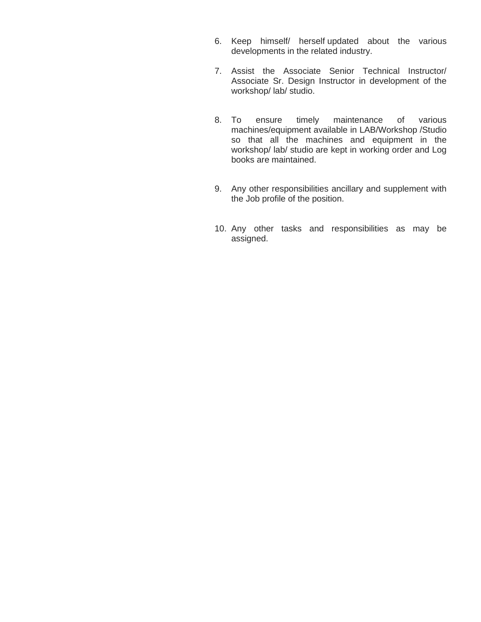- 6. Keep himself/ herself updated about the various developments in the related industry.
- 7. Assist the Associate Senior Technical Instructor/ Associate Sr. Design Instructor in development of the workshop/ lab/ studio.
- 8. To ensure timely maintenance of various machines/equipment available in LAB/Workshop /Studio so that all the machines and equipment in the workshop/ lab/ studio are kept in working order and Log books are maintained.
- 9. Any other responsibilities ancillary and supplement with the Job profile of the position.
- 10. Any other tasks and responsibilities as may be assigned.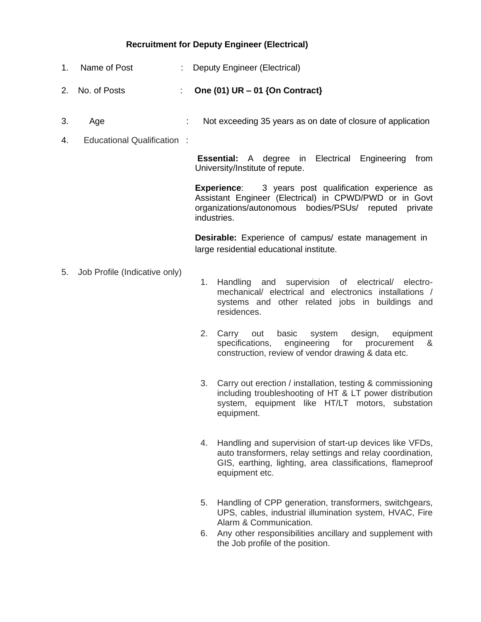## **Recruitment for Deputy Engineer (Electrical)**

- 1. Name of Post : Deputy Engineer (Electrical)
- 2. No. of Posts : **One (01) UR – 01 {On Contract}**
- 3. Age : Not exceeding 35 years as on date of closure of application
- 4. Educational Qualification :

**Essential:** A degree in Electrical Engineering from University/Institute of repute.

**Experience:** 3 years post qualification experience as Assistant Engineer (Electrical) in CPWD/PWD or in Govt organizations/autonomous bodies/PSUs/ reputed private industries.

**Desirable:** Experience of campus/ estate management in large residential educational institute.

- 5. Job Profile (Indicative only)
- 1. Handling and supervision of electrical/ electromechanical/ electrical and electronics installations / systems and other related jobs in buildings and residences.
- 2. Carry out basic system design, equipment specifications, engineering for procurement & construction, review of vendor drawing & data etc.
- 3. Carry out erection / installation, testing & commissioning including troubleshooting of HT & LT power distribution system, equipment like HT/LT motors, substation equipment.
- 4. Handling and supervision of start-up devices like VFDs, auto transformers, relay settings and relay coordination, GIS, earthing, lighting, area classifications, flameproof equipment etc.
- 5. Handling of CPP generation, transformers, switchgears, UPS, cables, industrial illumination system, HVAC, Fire Alarm & Communication.
- 6. Any other responsibilities ancillary and supplement with the Job profile of the position.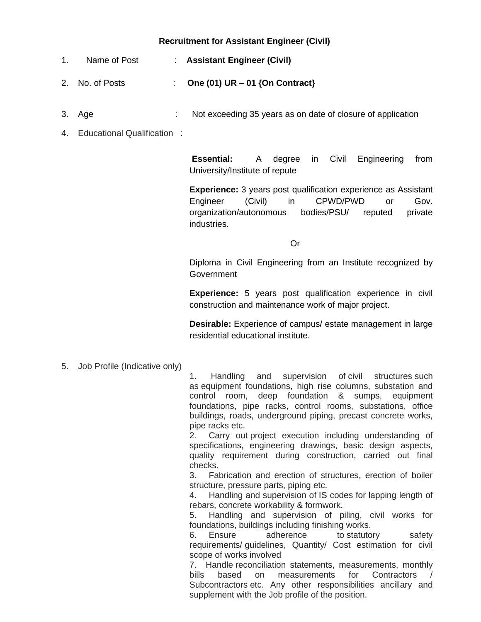## **Recruitment for Assistant Engineer (Civil)**

- 1. Name of Post : **Assistant Engineer (Civil)**
- 2. No. of Posts : **One (01) UR – 01 {On Contract}**
- 3. Age : Not exceeding 35 years as on date of closure of application
- 4. Educational Qualification :

**Essential:** A degree in Civil Engineering from University/Institute of repute

**Experience:** 3 years post qualification experience as Assistant Engineer (Civil) in CPWD/PWD or Gov. organization/autonomous bodies/PSU/ reputed private industries.

*<u>Oriental Contract Contract Contract Contract Contract Contract Contract Contract Contract Contract Contract Contract Contract Contract Contract Contract Contract Contract Contract Contract Contract Contract Contract Con*</u>

Diploma in Civil Engineering from an Institute recognized by Government

**Experience:** 5 years post qualification experience in civil construction and maintenance work of major project.

**Desirable:** Experience of campus/ estate management in large residential educational institute.

5. Job Profile (Indicative only)

1. Handling and supervision of civil structures such as equipment foundations, high rise columns, substation and control room, deep foundation & sumps, equipment foundations, pipe racks, control rooms, substations, office buildings, roads, underground piping, precast concrete works, pipe racks etc.

2. Carry out project execution including understanding of specifications, engineering drawings, basic design aspects, quality requirement during construction, carried out final checks.

3. Fabrication and erection of structures, erection of boiler structure, pressure parts, piping etc.

4. Handling and supervision of IS codes for lapping length of rebars, concrete workability & formwork.

5. Handling and supervision of piling, civil works for foundations, buildings including finishing works.

6. Ensure adherence to statutory safety requirements/ guidelines, Quantity/ Cost estimation for civil scope of works involved

7. Handle reconciliation statements, measurements, monthly bills based on measurements for Contractors Subcontractors etc. Any other responsibilities ancillary and supplement with the Job profile of the position.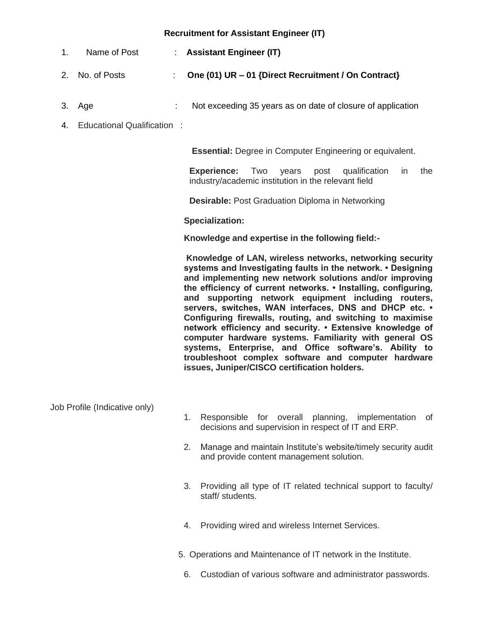## **Recruitment for Assistant Engineer (IT)**

- 1. Name of Post : **Assistant Engineer (IT)**
- 2. No. of Posts : **One (01) UR – 01 {Direct Recruitment / On Contract}**
- 3. Age : Not exceeding 35 years as on date of closure of application
- 4. Educational Qualification :

**Essential:** Degree in Computer Engineering or equivalent.

**Experience:** Two years post qualification in the industry/academic institution in the relevant field

**Desirable:** Post Graduation Diploma in Networking

**Specialization:**

**Knowledge and expertise in the following field:-**

**Knowledge of LAN, wireless networks, networking security systems and Investigating faults in the network. • Designing and implementing new network solutions and/or improving the efficiency of current networks. • Installing, configuring, and supporting network equipment including routers, servers, switches, WAN interfaces, DNS and DHCP etc. • Configuring firewalls, routing, and switching to maximise network efficiency and security. • Extensive knowledge of computer hardware systems. Familiarity with general OS systems, Enterprise, and Office software's. Ability to troubleshoot complex software and computer hardware issues, Juniper/CISCO certification holders.**

Job Profile (Indicative only)

- 1. Responsible for overall planning, implementation of decisions and supervision in respect of IT and ERP.
- 2. Manage and maintain Institute's website/timely security audit and provide content management solution.
- 3. Providing all type of IT related technical support to faculty/ staff/ students.
- 4. Providing wired and wireless Internet Services.
- 5. Operations and Maintenance of IT network in the Institute.
	- 6. Custodian of various software and administrator passwords.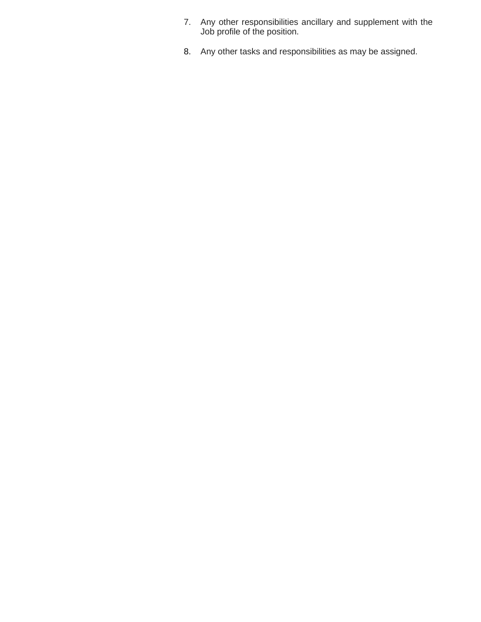- 7. Any other responsibilities ancillary and supplement with the Job profile of the position.
- 8. Any other tasks and responsibilities as may be assigned.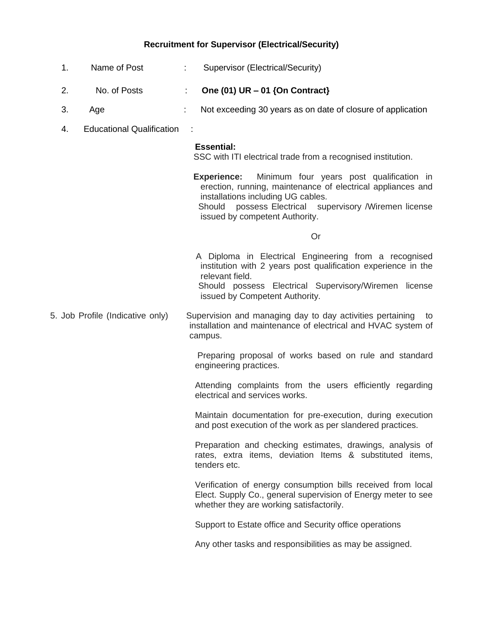## **Recruitment for Supervisor (Electrical/Security)**

- 1. Name of Post : Supervisor (Electrical/Security)
- 2. No. of Posts : **One (01) UR – 01 {On Contract}**
- 3. Age **:** Not exceeding 30 years as on date of closure of application
- 4. Educational Qualification :

#### **Essential:**

SSC with ITI electrical trade from a recognised institution.

 **Experience:** Minimum four years post qualification in erection, running, maintenance of electrical appliances and installations including UG cables.

 Should possess Electrical supervisory /Wiremen license issued by competent Authority.

**Contact Contact Contact Contact Contact Contact Contact Contact Contact Contact Contact Contact Contact Contact Contact Contact Contact Contact Contact Contact Contact Contact Contact Contact Contact Contact Contact Conta** 

 A Diploma in Electrical Engineering from a recognised institution with 2 years post qualification experience in the relevant field.

 Should possess Electrical Supervisory/Wiremen license issued by Competent Authority.

5. Job Profile (Indicative only) Supervision and managing day to day activities pertaining to installation and maintenance of electrical and HVAC system of campus.

> Preparing proposal of works based on rule and standard engineering practices.

> Attending complaints from the users efficiently regarding electrical and services works.

> Maintain documentation for pre-execution, during execution and post execution of the work as per slandered practices.

> Preparation and checking estimates, drawings, analysis of rates, extra items, deviation Items & substituted items, tenders etc.

> Verification of energy consumption bills received from local Elect. Supply Co., general supervision of Energy meter to see whether they are working satisfactorily.

Support to Estate office and Security office operations

Any other tasks and responsibilities as may be assigned.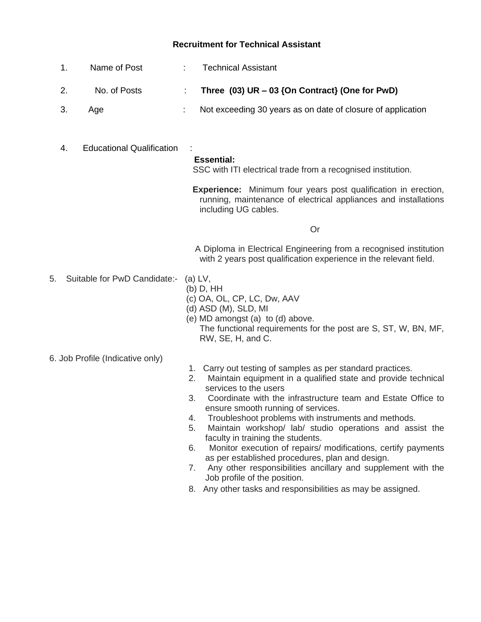# **Recruitment for Technical Assistant**

|    | 1.<br>Name of Post                     | <b>Technical Assistant</b>                                                                                                                                                                                                                                                                                                                                                                                                                                                                                                                                                                                                                                                 |  |
|----|----------------------------------------|----------------------------------------------------------------------------------------------------------------------------------------------------------------------------------------------------------------------------------------------------------------------------------------------------------------------------------------------------------------------------------------------------------------------------------------------------------------------------------------------------------------------------------------------------------------------------------------------------------------------------------------------------------------------------|--|
|    | 2.<br>No. of Posts                     | Three $(03)$ UR $-03$ {On Contract} (One for PwD)<br>÷                                                                                                                                                                                                                                                                                                                                                                                                                                                                                                                                                                                                                     |  |
|    | 3.<br>Age                              | Not exceeding 30 years as on date of closure of application                                                                                                                                                                                                                                                                                                                                                                                                                                                                                                                                                                                                                |  |
|    | <b>Educational Qualification</b><br>4. | <b>Essential:</b><br>SSC with ITI electrical trade from a recognised institution.                                                                                                                                                                                                                                                                                                                                                                                                                                                                                                                                                                                          |  |
|    |                                        | <b>Experience:</b> Minimum four years post qualification in erection,<br>running, maintenance of electrical appliances and installations<br>including UG cables.                                                                                                                                                                                                                                                                                                                                                                                                                                                                                                           |  |
|    |                                        | Or                                                                                                                                                                                                                                                                                                                                                                                                                                                                                                                                                                                                                                                                         |  |
|    |                                        | A Diploma in Electrical Engineering from a recognised institution<br>with 2 years post qualification experience in the relevant field.                                                                                                                                                                                                                                                                                                                                                                                                                                                                                                                                     |  |
| 5. | Suitable for PwD Candidate:-           | $(a) LV$ ,<br>$(b)$ D, HH<br>(c) OA, OL, CP, LC, Dw, AAV<br>(d) ASD (M), SLD, MI<br>(e) MD amongst (a) to (d) above.<br>The functional requirements for the post are S, ST, W, BN, MF,<br>RW, SE, H, and C.                                                                                                                                                                                                                                                                                                                                                                                                                                                                |  |
|    | 6. Job Profile (Indicative only)       |                                                                                                                                                                                                                                                                                                                                                                                                                                                                                                                                                                                                                                                                            |  |
|    |                                        | 1. Carry out testing of samples as per standard practices.<br>Maintain equipment in a qualified state and provide technical<br>2.<br>services to the users<br>Coordinate with the infrastructure team and Estate Office to<br>3.<br>ensure smooth running of services.<br>Troubleshoot problems with instruments and methods.<br>4.<br>5.<br>Maintain workshop/ lab/ studio operations and assist the<br>faculty in training the students.<br>Monitor execution of repairs/ modifications, certify payments<br>6.<br>as per established procedures, plan and design.<br>Any other responsibilities ancillary and supplement with the<br>7.<br>Job profile of the position. |  |

8. Any other tasks and responsibilities as may be assigned.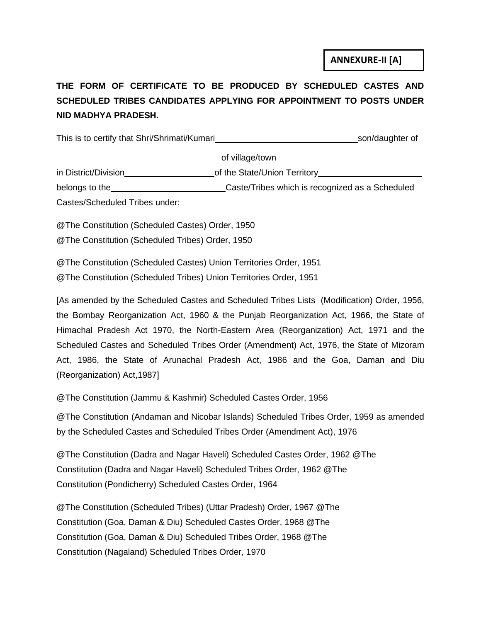# **THE FORM OF CERTIFICATE TO BE PRODUCED BY SCHEDULED CASTES AND SCHEDULED TRIBES CANDIDATES APPLYING FOR APPOINTMENT TO POSTS UNDER NID MADHYA PRADESH.**

This is to certify that Shri/Shrimati/Kumari son/daughter of son/daughter of of village/town in District/Division of the State/Union Territory

belongs to the Caste/Tribes which is recognized as a Scheduled Castes/Scheduled Tribes under:

@The Constitution (Scheduled Castes) Order, 1950

@The Constitution (Scheduled Tribes) Order, 1950

@The Constitution (Scheduled Castes) Union Territories Order, 1951

@The Constitution (Scheduled Tribes) Union Territories Order, 1951

[As amended by the Scheduled Castes and Scheduled Tribes Lists (Modification) Order, 1956, the Bombay Reorganization Act, 1960 & the Punjab Reorganization Act, 1966, the State of Himachal Pradesh Act 1970, the North-Eastern Area (Reorganization) Act, 1971 and the Scheduled Castes and Scheduled Tribes Order (Amendment) Act, 1976, the State of Mizoram Act, 1986, the State of Arunachal Pradesh Act, 1986 and the Goa, Daman and Diu (Reorganization) Act,1987]

@The Constitution (Jammu & Kashmir) Scheduled Castes Order, 1956

@The Constitution (Andaman and Nicobar Islands) Scheduled Tribes Order, 1959 as amended by the Scheduled Castes and Scheduled Tribes Order (Amendment Act), 1976

@The Constitution (Dadra and Nagar Haveli) Scheduled Castes Order, 1962 @The Constitution (Dadra and Nagar Haveli) Scheduled Tribes Order, 1962 @The Constitution (Pondicherry) Scheduled Castes Order, 1964

@The Constitution (Scheduled Tribes) (Uttar Pradesh) Order, 1967 @The Constitution (Goa, Daman & Diu) Scheduled Castes Order, 1968 @The Constitution (Goa, Daman & Diu) Scheduled Tribes Order, 1968 @The Constitution (Nagaland) Scheduled Tribes Order, 1970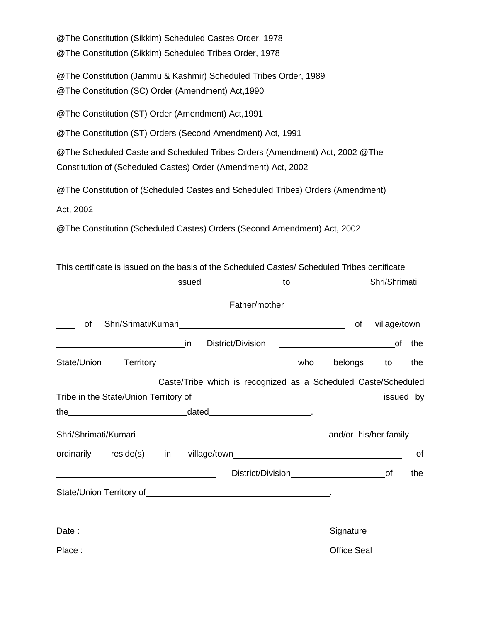@The Constitution (Sikkim) Scheduled Castes Order, 1978 @The Constitution (Sikkim) Scheduled Tribes Order, 1978 @The Constitution (Jammu & Kashmir) Scheduled Tribes Order, 1989 @The Constitution (SC) Order (Amendment) Act,1990 @The Constitution (ST) Order (Amendment) Act,1991 @The Constitution (ST) Orders (Second Amendment) Act, 1991 @The Scheduled Caste and Scheduled Tribes Orders (Amendment) Act, 2002 @The Constitution of (Scheduled Castes) Order (Amendment) Act, 2002 @The Constitution of (Scheduled Castes and Scheduled Tribes) Orders (Amendment) Act, 2002 @The Constitution (Scheduled Castes) Orders (Second Amendment) Act, 2002

This certificate is issued on the basis of the Scheduled Castes/ Scheduled Tribes certificate

|        |                                                                                                                                                                                                                                | issued |                   |                                                                                                                                                                                                                                | to |     |                    | Shri/Shrimati |     |
|--------|--------------------------------------------------------------------------------------------------------------------------------------------------------------------------------------------------------------------------------|--------|-------------------|--------------------------------------------------------------------------------------------------------------------------------------------------------------------------------------------------------------------------------|----|-----|--------------------|---------------|-----|
|        |                                                                                                                                                                                                                                |        |                   |                                                                                                                                                                                                                                |    |     |                    |               |     |
| of     |                                                                                                                                                                                                                                |        |                   |                                                                                                                                                                                                                                |    |     | of                 | village/town  |     |
|        |                                                                                                                                                                                                                                |        | District/Division |                                                                                                                                                                                                                                |    |     |                    |               | the |
|        |                                                                                                                                                                                                                                |        |                   |                                                                                                                                                                                                                                |    | who | belongs            | to            | the |
|        |                                                                                                                                                                                                                                |        |                   | Caste/Tribe which is recognized as a Scheduled Caste/Scheduled                                                                                                                                                                 |    |     |                    |               |     |
|        |                                                                                                                                                                                                                                |        |                   |                                                                                                                                                                                                                                |    |     |                    | _issued by    |     |
|        | the dated dated and the series of the series of the series of the series of the series of the series of the series of the series of the series of the series of the series of the series of the series of the series of the se |        |                   |                                                                                                                                                                                                                                |    |     |                    |               |     |
|        |                                                                                                                                                                                                                                |        |                   |                                                                                                                                                                                                                                |    |     |                    |               |     |
|        |                                                                                                                                                                                                                                |        |                   |                                                                                                                                                                                                                                |    |     |                    |               | οf  |
|        | <u> Alexandria de la contrada de la contrada de la contrada de la contrada de la contrada de la contrada de la c</u>                                                                                                           |        |                   | District/Division bistrict/Division bistrict/Division bistrict/Division bistrict/Division bistrict/Division bistrict/Division bistrict/Division bistrict/Division bistrict/Division bistrict/Division bistrict/Division bistri |    |     |                    |               | the |
|        |                                                                                                                                                                                                                                |        |                   |                                                                                                                                                                                                                                |    |     |                    |               |     |
|        |                                                                                                                                                                                                                                |        |                   |                                                                                                                                                                                                                                |    |     |                    |               |     |
| Date:  |                                                                                                                                                                                                                                |        |                   |                                                                                                                                                                                                                                |    |     | Signature          |               |     |
| Place: |                                                                                                                                                                                                                                |        |                   |                                                                                                                                                                                                                                |    |     | <b>Office Seal</b> |               |     |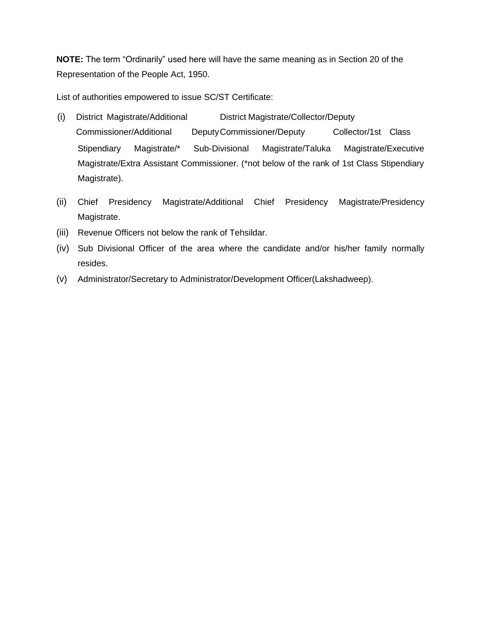**NOTE:** The term "Ordinarily" used here will have the same meaning as in Section 20 of the Representation of the People Act, 1950.

List of authorities empowered to issue SC/ST Certificate:

- (i) District Magistrate/Additional District Magistrate/Collector/Deputy Commissioner/Additional DeputyCommissioner/Deputy Collector/1st Class Stipendiary Magistrate/\* Sub-Divisional Magistrate/Taluka Magistrate/Executive Magistrate/Extra Assistant Commissioner. (\*not below of the rank of 1st Class Stipendiary Magistrate).
- (ii) Chief Presidency Magistrate/Additional Chief Presidency Magistrate/Presidency Magistrate.
- (iii) Revenue Officers not below the rank of Tehsildar.
- (iv) Sub Divisional Officer of the area where the candidate and/or his/her family normally resides.
- (v) Administrator/Secretary to Administrator/Development Officer(Lakshadweep).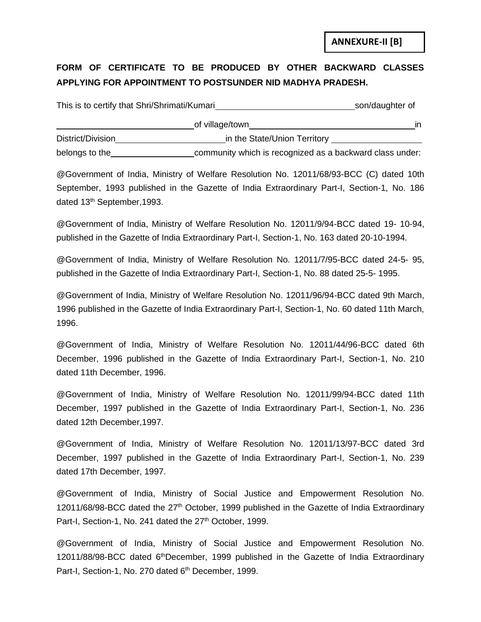**ANNEXURE-II [B]**

## **FORM OF CERTIFICATE TO BE PRODUCED BY OTHER BACKWARD CLASSES APPLYING FOR APPOINTMENT TO POSTSUNDER NID MADHYA PRADESH.**

| This is to certify that Shri/Shrimati/Kumari | son/daughter of              |                                                          |
|----------------------------------------------|------------------------------|----------------------------------------------------------|
|                                              | of village/town              | in.                                                      |
| District/Division                            | in the State/Union Territory |                                                          |
| belongs to the                               |                              | community which is recognized as a backward class under: |

@Government of India, Ministry of Welfare Resolution No. 12011/68/93-BCC (C) dated 10th September, 1993 published in the Gazette of India Extraordinary Part-I, Section-1, No. 186 dated 13<sup>th</sup> September, 1993.

@Government of India, Ministry of Welfare Resolution No. 12011/9/94-BCC dated 19- 10-94, published in the Gazette of India Extraordinary Part-I, Section-1, No. 163 dated 20-10-1994.

@Government of India, Ministry of Welfare Resolution No. 12011/7/95-BCC dated 24-5- 95, published in the Gazette of India Extraordinary Part-I, Section-1, No. 88 dated 25-5- 1995.

@Government of India, Ministry of Welfare Resolution No. 12011/96/94-BCC dated 9th March, 1996 published in the Gazette of India Extraordinary Part-I, Section-1, No. 60 dated 11th March, 1996.

@Government of India, Ministry of Welfare Resolution No. 12011/44/96-BCC dated 6th December, 1996 published in the Gazette of India Extraordinary Part-I, Section-1, No. 210 dated 11th December, 1996.

@Government of India, Ministry of Welfare Resolution No. 12011/99/94-BCC dated 11th December, 1997 published in the Gazette of India Extraordinary Part-I, Section-1, No. 236 dated 12th December,1997.

@Government of India, Ministry of Welfare Resolution No. 12011/13/97-BCC dated 3rd December, 1997 published in the Gazette of India Extraordinary Part-I, Section-1, No. 239 dated 17th December, 1997.

@Government of India, Ministry of Social Justice and Empowerment Resolution No. 12011/68/98-BCC dated the 27<sup>th</sup> October, 1999 published in the Gazette of India Extraordinary Part-I, Section-1, No. 241 dated the 27<sup>th</sup> October, 1999.

@Government of India, Ministry of Social Justice and Empowerment Resolution No. 12011/88/98-BCC dated 6<sup>th</sup>December, 1999 published in the Gazette of India Extraordinary Part-I, Section-1, No. 270 dated 6<sup>th</sup> December, 1999.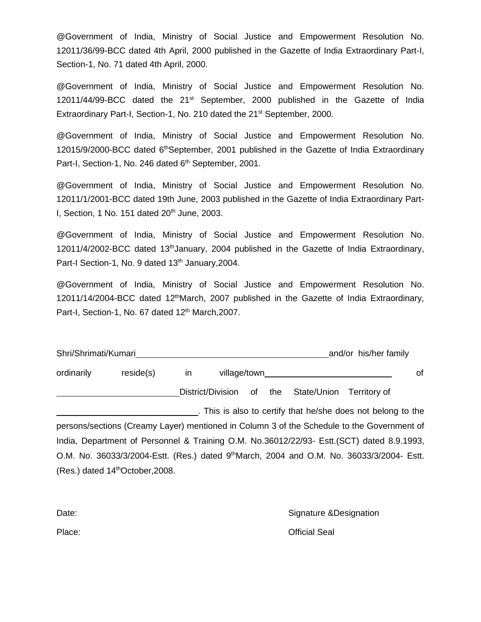@Government of India, Ministry of Social Justice and Empowerment Resolution No. 12011/36/99-BCC dated 4th April, 2000 published in the Gazette of India Extraordinary Part-I, Section-1, No. 71 dated 4th April, 2000.

@Government of India, Ministry of Social Justice and Empowerment Resolution No. 12011/44/99-BCC dated the 21<sup>st</sup> September, 2000 published in the Gazette of India Extraordinary Part-I, Section-1, No. 210 dated the 21<sup>st</sup> September, 2000.

@Government of India, Ministry of Social Justice and Empowerment Resolution No. 12015/9/2000-BCC dated 6thSeptember, 2001 published in the Gazette of India Extraordinary Part-I, Section-1, No. 246 dated 6<sup>th</sup> September, 2001.

@Government of India, Ministry of Social Justice and Empowerment Resolution No. 12011/1/2001-BCC dated 19th June, 2003 published in the Gazette of India Extraordinary Part-I, Section, 1 No. 151 dated  $20<sup>th</sup>$  June, 2003.

@Government of India, Ministry of Social Justice and Empowerment Resolution No. 12011/4/2002-BCC dated 13<sup>th</sup>January, 2004 published in the Gazette of India Extraordinary, Part-I Section-1, No. 9 dated 13<sup>th</sup> January, 2004.

@Government of India, Ministry of Social Justice and Empowerment Resolution No. 12011/14/2004-BCC dated 12<sup>th</sup>March, 2007 published in the Gazette of India Extraordinary, Part-I, Section-1, No. 67 dated 12<sup>th</sup> March, 2007.

| Shri/Shrimati/Kumari<br>and/or his/her family |                                 |  |                   |    |     |             |              |  |
|-----------------------------------------------|---------------------------------|--|-------------------|----|-----|-------------|--------------|--|
| ordinarily                                    | reside(s)<br>village/town<br>ın |  |                   |    |     |             | οf           |  |
|                                               |                                 |  | District/Division | of | the | State/Union | Territory of |  |

. This is also to certify that he/she does not belong to the persons/sections (Creamy Layer) mentioned in Column 3 of the Schedule to the Government of India, Department of Personnel & Training O.M. No.36012/22/93- Estt.(SCT) dated 8.9.1993, O.M. No. 36033/3/2004-Estt. (Res.) dated 9<sup>th</sup>March, 2004 and O.M. No. 36033/3/2004- Estt. (Res.) dated 14thOctober,2008.

> Signature &Designation Official Seal

Date:

Place: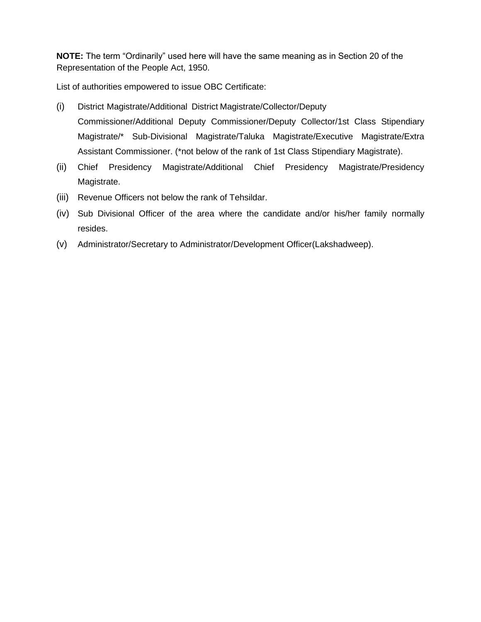**NOTE:** The term "Ordinarily" used here will have the same meaning as in Section 20 of the Representation of the People Act, 1950.

List of authorities empowered to issue OBC Certificate:

- (i) District Magistrate/Additional District Magistrate/Collector/Deputy Commissioner/Additional Deputy Commissioner/Deputy Collector/1st Class Stipendiary Magistrate/\* Sub-Divisional Magistrate/Taluka Magistrate/Executive Magistrate/Extra Assistant Commissioner. (\*not below of the rank of 1st Class Stipendiary Magistrate).
- (ii) Chief Presidency Magistrate/Additional Chief Presidency Magistrate/Presidency Magistrate.
- (iii) Revenue Officers not below the rank of Tehsildar.
- (iv) Sub Divisional Officer of the area where the candidate and/or his/her family normally resides.
- (v) Administrator/Secretary to Administrator/Development Officer(Lakshadweep).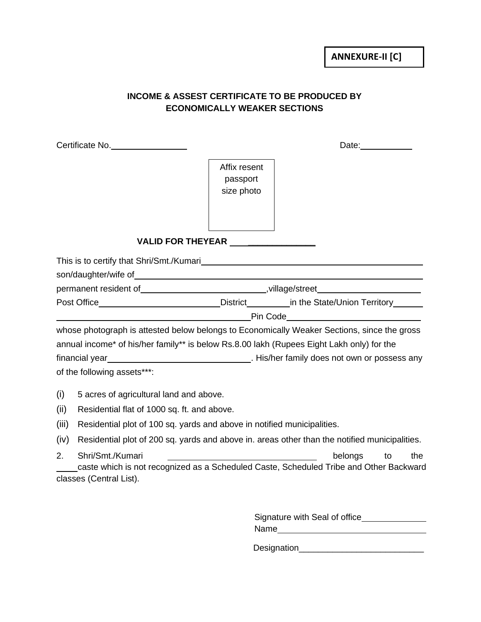## **INCOME & ASSEST CERTIFICATE TO BE PRODUCED BY ECONOMICALLY WEAKER SECTIONS**

|       | Certificate No.                                                                           | Date: Date:                            |                                                                                                                                                                                                                        |  |  |  |
|-------|-------------------------------------------------------------------------------------------|----------------------------------------|------------------------------------------------------------------------------------------------------------------------------------------------------------------------------------------------------------------------|--|--|--|
|       |                                                                                           | Affix resent<br>passport<br>size photo |                                                                                                                                                                                                                        |  |  |  |
|       | VALID FOR THEYEAR ________________                                                        |                                        |                                                                                                                                                                                                                        |  |  |  |
|       |                                                                                           |                                        |                                                                                                                                                                                                                        |  |  |  |
|       |                                                                                           |                                        | permanent resident of________________________________,village/street___________________                                                                                                                                |  |  |  |
|       |                                                                                           |                                        | Post Office______________________________District__________in the State/Union Territory_______<br><u>Pin Code Prince and American Prince and American Prince and American Prince and American Prince and American </u> |  |  |  |
|       |                                                                                           |                                        | whose photograph is attested below belongs to Economically Weaker Sections, since the gross                                                                                                                            |  |  |  |
|       | annual income* of his/her family** is below Rs.8.00 lakh (Rupees Eight Lakh only) for the |                                        |                                                                                                                                                                                                                        |  |  |  |
|       |                                                                                           |                                        |                                                                                                                                                                                                                        |  |  |  |
|       | of the following assets***:                                                               |                                        |                                                                                                                                                                                                                        |  |  |  |
| (i)   | 5 acres of agricultural land and above.                                                   |                                        |                                                                                                                                                                                                                        |  |  |  |
| (ii)  | Residential flat of 1000 sq. ft. and above.                                               |                                        |                                                                                                                                                                                                                        |  |  |  |
| (iii) | Residential plot of 100 sq. yards and above in notified municipalities.                   |                                        |                                                                                                                                                                                                                        |  |  |  |
| (iv)  |                                                                                           |                                        | Residential plot of 200 sq. yards and above in. areas other than the notified municipalities.                                                                                                                          |  |  |  |
| 2.    | Shri/Smt./Kumari<br>classes (Central List).                                               |                                        | belongs<br>the<br>to<br>caste which is not recognized as a Scheduled Caste, Scheduled Tribe and Other Backward                                                                                                         |  |  |  |

| Signature with Seal of office |  |
|-------------------------------|--|
| Name                          |  |

Designation\_\_\_\_\_\_\_\_\_\_\_\_\_\_\_\_\_\_\_\_\_\_\_\_\_\_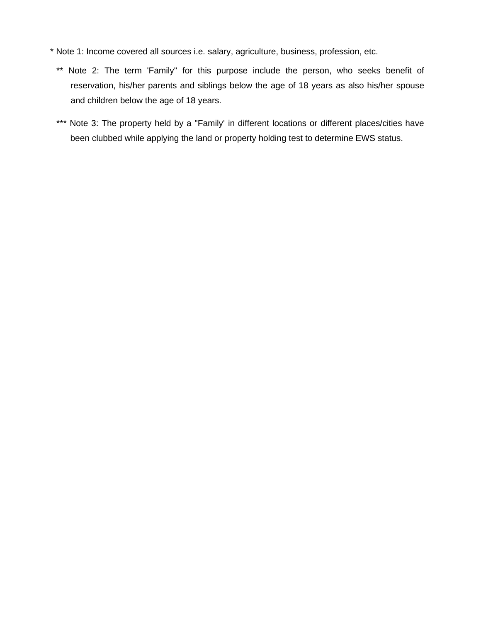- \* Note 1: Income covered all sources i.e. salary, agriculture, business, profession, etc.
	- \*\* Note 2: The term 'Family" for this purpose include the person, who seeks benefit of reservation, his/her parents and siblings below the age of 18 years as also his/her spouse and children below the age of 18 years.
	- \*\*\* Note 3: The property held by a "Family' in different locations or different places/cities have been clubbed while applying the land or property holding test to determine EWS status.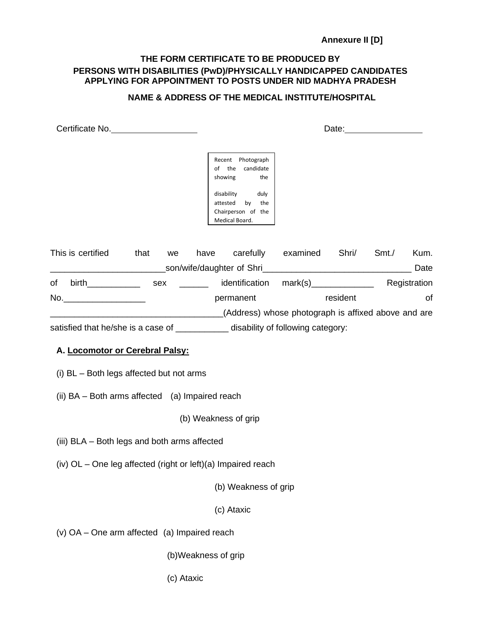## **Annexure II [D]**

## **THE FORM CERTIFICATE TO BE PRODUCED BY PERSONS WITH DISABILITIES (PwD)/PHYSICALLY HANDICAPPED CANDIDATES APPLYING FOR APPOINTMENT TO POSTS UNDER NID MADHYA PRADESH**

## **NAME & ADDRESS OF THE MEDICAL INSTITUTE/HOSPITAL**

| Certificate No.                                                                                                                                                                                                                      |      |     |           | Date:                                                                                                                                          |                                                     |    |       |              |  |
|--------------------------------------------------------------------------------------------------------------------------------------------------------------------------------------------------------------------------------------|------|-----|-----------|------------------------------------------------------------------------------------------------------------------------------------------------|-----------------------------------------------------|----|-------|--------------|--|
|                                                                                                                                                                                                                                      |      |     |           | Recent Photograph<br>candidate<br>of the<br>the<br>showing<br>duly<br>disability<br>by the<br>attested<br>Chairperson of the<br>Medical Board. |                                                     |    |       |              |  |
| This is certified                                                                                                                                                                                                                    | that | we  |           |                                                                                                                                                | have carefully examined Shri/                       |    | Smt./ | Kum.         |  |
|                                                                                                                                                                                                                                      |      |     |           |                                                                                                                                                |                                                     |    |       | Date         |  |
| birth the contract of the contract of the contract of the contract of the contract of the contract of the contract of the contract of the contract of the contract of the contract of the contract of the contract of the cont<br>of |      | sex |           | identification                                                                                                                                 | mark(s)_______________                              |    |       | Registration |  |
| No. And the contract of the contract of the contract of the contract of the contract of the contract of the contract of the contract of the contract of the contract of the contract of the contract of the contract of the co       |      |     | permanent | resident                                                                                                                                       |                                                     | 0f |       |              |  |
|                                                                                                                                                                                                                                      |      |     |           |                                                                                                                                                | (Address) whose photograph is affixed above and are |    |       |              |  |
| satisfied that he/she is a case of _______________ disability of following category:                                                                                                                                                 |      |     |           |                                                                                                                                                |                                                     |    |       |              |  |

## **A. Locomotor or Cerebral Palsy:**

- (i) BL Both legs affected but not arms
- (ii) BA Both arms affected (a) Impaired reach

(b) Weakness of grip

- (iii) BLA Both legs and both arms affected
- (iv) OL One leg affected (right or left)(a) Impaired reach

(b) Weakness of grip

(c) Ataxic

- (v) OA One arm affected (a) Impaired reach
	- (b)Weakness of grip
	- (c) Ataxic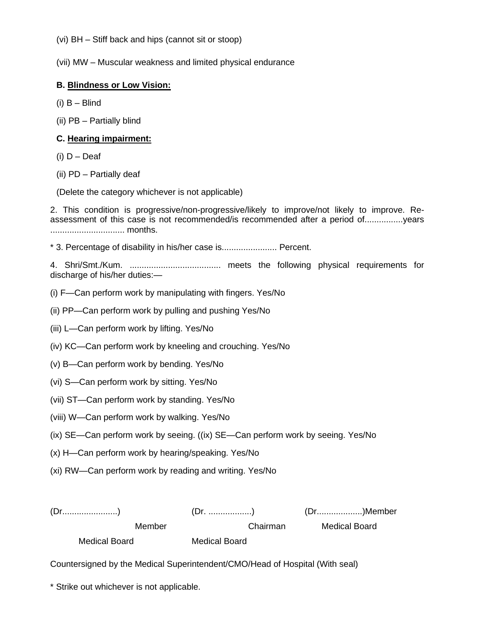(vi) BH – Stiff back and hips (cannot sit or stoop)

(vii) MW – Muscular weakness and limited physical endurance

### **B. Blindness or Low Vision:**

(i) B – Blind

(ii) PB – Partially blind

### **C. Hearing impairment:**

- (i)  $D Deaf$
- (ii) PD Partially deaf

(Delete the category whichever is not applicable)

2. This condition is progressive/non-progressive/likely to improve/not likely to improve. Reassessment of this case is not recommended/is recommended after a period of................years ............................... months.

\* 3. Percentage of disability in his/her case is....................... Percent.

4. Shri/Smt./Kum. ...................................... meets the following physical requirements for discharge of his/her duties:—

(i) F—Can perform work by manipulating with fingers. Yes/No

- (ii) PP—Can perform work by pulling and pushing Yes/No
- (iii) L—Can perform work by lifting. Yes/No
- (iv) KC—Can perform work by kneeling and crouching. Yes/No
- (v) B—Can perform work by bending. Yes/No
- (vi) S—Can perform work by sitting. Yes/No
- (vii) ST—Can perform work by standing. Yes/No
- (viii) W—Can perform work by walking. Yes/No
- (ix) SE—Can perform work by seeing. ((ix) SE—Can perform work by seeing. Yes/No
- (x) H—Can perform work by hearing/speaking. Yes/No
- (xi) RW—Can perform work by reading and writing. Yes/No

(Dr.......................) (Dr. ..................) (Dr...................)Member Member Chairman Medical Board

Medical Board Medical Board

Countersigned by the Medical Superintendent/CMO/Head of Hospital (With seal)

\* Strike out whichever is not applicable.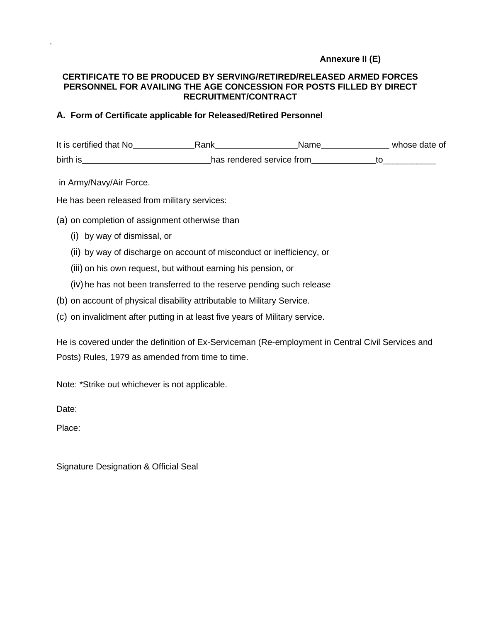## **Annexure II (E)**

## **CERTIFICATE TO BE PRODUCED BY SERVING/RETIRED/RELEASED ARMED FORCES PERSONNEL FOR AVAILING THE AGE CONCESSION FOR POSTS FILLED BY DIRECT RECRUITMENT/CONTRACT**

## **A. Form of Certificate applicable for Released/Retired Personnel**

It is certified that No<br>
<u>Rank Name</u> Mame Name whose date of birth is has rendered service from to to the service from to the service from the service from the service from the service from the service from the service from the service from the service from the service from the serv

in Army/Navy/Air Force.

He has been released from military services:

- (a) on completion of assignment otherwise than
	- (i) by way of dismissal, or
	- (ii) by way of discharge on account of misconduct or inefficiency, or
	- (iii) on his own request, but without earning his pension, or
	- (iv) he has not been transferred to the reserve pending such release
- (b) on account of physical disability attributable to Military Service.
- (c) on invalidment after putting in at least five years of Military service.

He is covered under the definition of Ex-Serviceman (Re-employment in Central Civil Services and Posts) Rules, 1979 as amended from time to time.

Note: \*Strike out whichever is not applicable.

Date:

Place:

Signature Designation & Official Seal